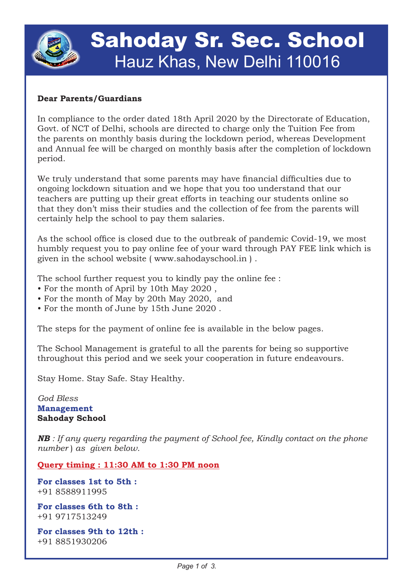

# Sahoday Sr. Sec. School Hauz Khas, New Delhi 110016

### **Dear Parents/Guardians**

In compliance to the order dated 18th April 2020 by the Directorate of Education, Govt. of NCT of Delhi, schools are directed to charge only the Tuition Fee from the parents on monthly basis during the lockdown period, whereas Development and Annual fee will be charged on monthly basis after the completion of lockdown period.

We truly understand that some parents may have financial difficulties due to ongoing lockdown situation and we hope that you too understand that our teachers are putting up their great efforts in teaching our students online so that they don't miss their studies and the collection of fee from the parents will certainly help the school to pay them salaries.

As the school office is closed due to the outbreak of pandemic Covid-19, we most humbly request you to pay online fee of your ward through PAY FEE link which is given in the school website ( www.sahodayschool.in ) .

The school further request you to kindly pay the online fee :

- For the month of April by 10th May 2020 ,
- For the month of May by 20th May 2020, and
- For the month of June by 15th June 2020 .

The steps for the payment of online fee is available in the below pages.

The School Management is grateful to all the parents for being so supportive throughout this period and we seek your cooperation in future endeavours.

Stay Home. Stay Safe. Stay Healthy.

*God Bless* **Management Sahoday School**

*NB : If any query regarding the payment of School fee, Kindly contact on the phone number* ) *as given below.* 

**Query timing : 11:30 AM to 1:30 PM noon**

**For classes 1st to 5th :** +91 8588911995

**For classes 6th to 8th :** +91 9717513249

**For classes 9th to 12th :** +91 8851930206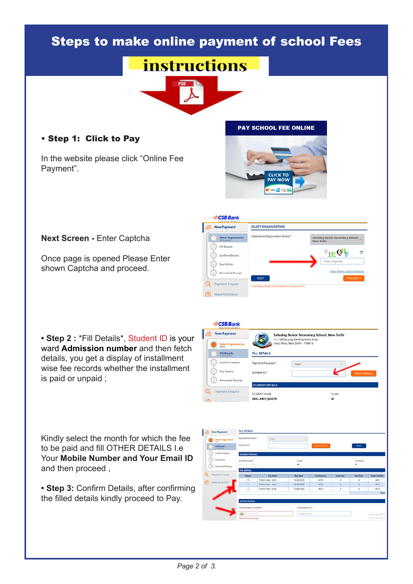## Steps to make online payment of school Fees

**SCSB Bank** 



### • Step 1: Click to Pay

In the website please click "Online Fee Payment".

#### **PAY SCHOOL FEE ONLINE**



#### **Next Screen -** Enter Captcha

Once page is opened Please Enter shown Captcha and proceed.

**• Step 2 :** \*Fill Details\*, Student ID is your ward **Admission number** and then fetch details, you get a display of installment wise fee records whether the installment is paid or unpaid ;

Kindly select the month for which the fee to be paid and fill OTHER DETAILS I.e Your **Mobile Number and Your Email ID** and then proceed ,

**• Step 3:** Confirm Details, after confirming the filled details kindly proceed to Pay.



 $360012340$